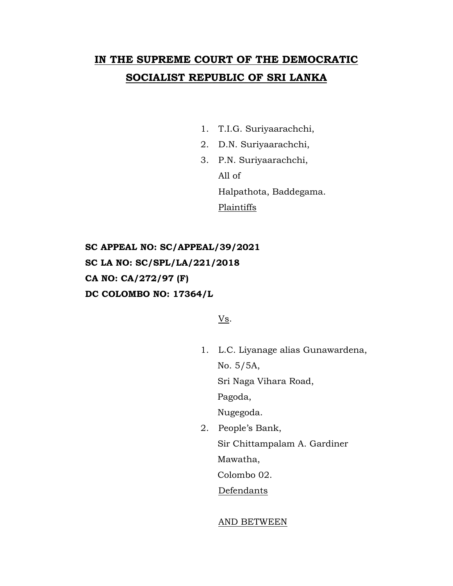# **IN THE SUPREME COURT OF THE DEMOCRATIC SOCIALIST REPUBLIC OF SRI LANKA**

- 1. T.I.G. Suriyaarachchi,
- 2. D.N. Suriyaarachchi,
- 3. P.N. Suriyaarachchi, All of Halpathota, Baddegama. **Plaintiffs**

**SC APPEAL NO: SC/APPEAL/39/2021 SC LA NO: SC/SPL/LA/221/2018 CA NO: CA/272/97 (F) DC COLOMBO NO: 17364/L**

Vs.

1. L.C. Liyanage alias Gunawardena, No. 5/5A,

Sri Naga Vihara Road,

Pagoda,

Nugegoda.

- 2. People's Bank,
	- Sir Chittampalam A. Gardiner

Mawatha,

Colombo 02.

**Defendants** 

#### AND BETWEEN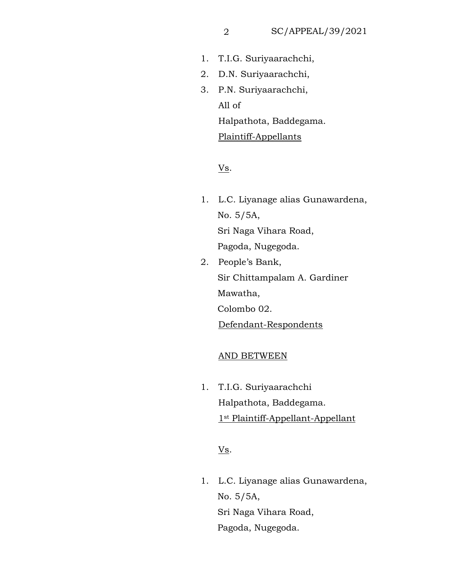- 1. T.I.G. Suriyaarachchi,
- 2. D.N. Suriyaarachchi,
- 3. P.N. Suriyaarachchi, Halpathota, Baddegama. Plaintiff-Appellants All of

## V<sub>s</sub>.

- 1. L.C. Liyanage alias Gunawardena, No. 5/5A, Sri Naga Vihara Road, Pagoda, Nugegoda.
- 2. People's Bank, Sir Chittampalam A. Gardiner Mawatha, Colombo 02. Defendant-Respondents

#### AND BETWEEN

1. T.I.G. Suriyaarachchi Halpathota, Baddegama. 1st Plaintiff-Appellant-Appellant

## Vs.

1. L.C. Liyanage alias Gunawardena, No. 5/5A, Sri Naga Vihara Road, Pagoda, Nugegoda.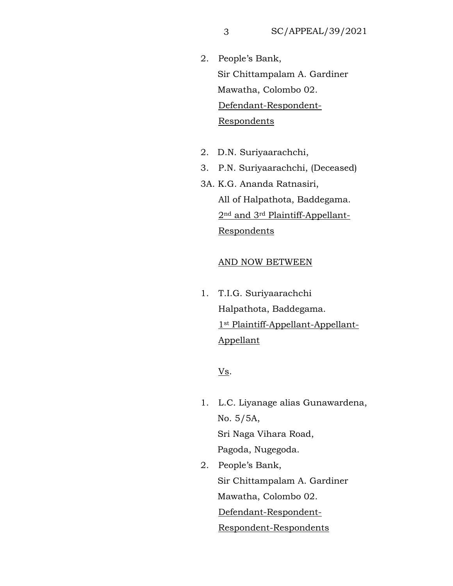- $\mathbf{K}$ , Sir Chittampalam A. Gardiner Mawatha, Colombo 02. <u>Defendant-Respondent-</u>  $\frac{5}{2}$ 2. People's Bank, Respondents
- it.] 2. D.N. Suriyaarachchi,
- 3. P.N. Suriyaarachchi, (Deceased)
- 3A. K.G. Ananda Ratnasiri, All of Halpathota, Baddegama. 2nd and 3rd Plaintiff-Appellant-Respondents

### AND NOW BETWEEN

1. T.I.G. Suriyaarachchi Halpathota, Baddegama. 1st Plaintiff-Appellant-Appellant-Appellant

## Vs.

- 1. L.C. Liyanage alias Gunawardena, No. 5/5A, Sri Naga Vihara Road, Pagoda, Nugegoda.
- 2. People's Bank, Sir Chittampalam A. Gardiner Mawatha, Colombo 02. Defendant-Respondent-Respondent-Respondents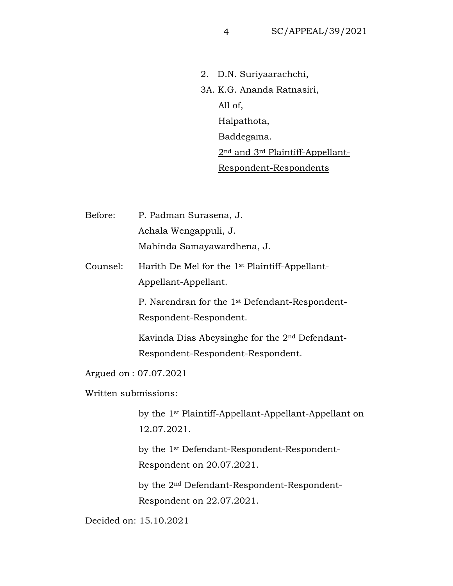2. D.N. Suriyaarachchi, 3A. K.G. Ananda Ratnasiri, 2<sup>nd</sup> and 3<sup>rd</sup> Plaintiff-Appellant-All of, Halpathota, Baddegama. Respondent-Respondents

Before: P. Padman Surasena, J. Achala Wengappuli, J. Mahinda Samayawardhena, J.

Counsel: Harith De Mel for the 1st Plaintiff-Appellant-Appellant-Appellant.

> P. Narendran for the 1st Defendant-Respondent-Respondent-Respondent.

> Kavinda Dias Abeysinghe for the 2nd Defendant-Respondent-Respondent-Respondent.

Argued on : 07.07.2021

Written submissions:

by the 1st Plaintiff-Appellant-Appellant-Appellant on 12.07.2021.

by the 1st Defendant-Respondent-Respondent-Respondent on 20.07.2021.

by the 2nd Defendant-Respondent-Respondent-Respondent on 22.07.2021.

Decided on: 15.10.2021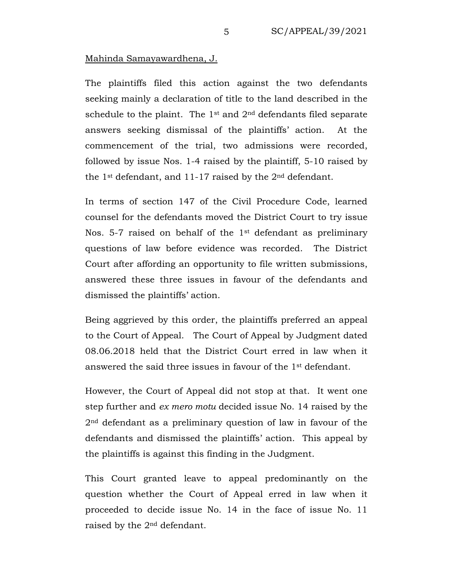#### Mahinda Samayawardhena, J.

The plaintiffs filed this action against the two defendants seeking mainly a declaration of title to the land described in the schedule to the plaint. The  $1^{\text{st}}$  and  $2^{\text{nd}}$  defendants filed separate answers seeking dismissal of the plaintiffs' action. At the commencement of the trial, two admissions were recorded, followed by issue Nos. 1-4 raised by the plaintiff, 5-10 raised by the 1st defendant, and 11-17 raised by the 2nd defendant.

In terms of section 147 of the Civil Procedure Code, learned counsel for the defendants moved the District Court to try issue Nos. 5-7 raised on behalf of the 1<sup>st</sup> defendant as preliminary questions of law before evidence was recorded. The District Court after affording an opportunity to file written submissions, answered these three issues in favour of the defendants and dismissed the plaintiffs' action.

Being aggrieved by this order, the plaintiffs preferred an appeal to the Court of Appeal. The Court of Appeal by Judgment dated 08.06.2018 held that the District Court erred in law when it answered the said three issues in favour of the 1st defendant.

However, the Court of Appeal did not stop at that. It went one step further and *ex mero motu* decided issue No. 14 raised by the 2nd defendant as a preliminary question of law in favour of the defendants and dismissed the plaintiffs' action. This appeal by the plaintiffs is against this finding in the Judgment.

This Court granted leave to appeal predominantly on the question whether the Court of Appeal erred in law when it proceeded to decide issue No. 14 in the face of issue No. 11 raised by the 2nd defendant.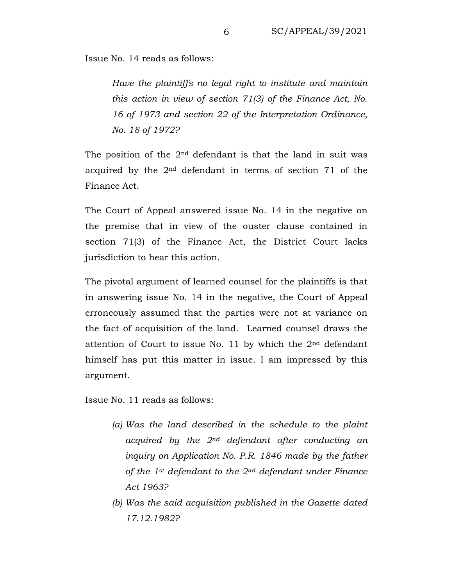Issue No. 14 reads as follows:

*Have the plaintiffs no legal right to institute and maintain* this action in view of section 71(3) of the Finance Act, No. 16 of 1973 and section 22 of the Interpretation Ordinance, *No. 18 of 1972?* 

The position of the  $2<sup>nd</sup>$  defendant is that the land in suit was acquired by the 2nd defendant in terms of section 71 of the Finance Act.

The Court of Appeal answered issue No. 14 in the negative on the premise that in view of the ouster clause contained in section 71(3) of the Finance Act, the District Court lacks jurisdiction to hear this action.

The pivotal argument of learned counsel for the plaintiffs is that in answering issue No. 14 in the negative, the Court of Appeal erroneously assumed that the parties were not at variance on the fact of acquisition of the land. Learned counsel draws the attention of Court to issue No. 11 by which the 2nd defendant himself has put this matter in issue. I am impressed by this argument.

Issue No. 11 reads as follows:

- *(a) Was the land described in the schedule to the plaint acquired by the 2nd defendant after conducting an inquiry on Application No. P.R. 1846 made by the father of the 1st defendant to the 2nd defendant under Finance Act 1963?*
- *(b) Was the said acquisition published in the Gazette dated 17.12.1982?*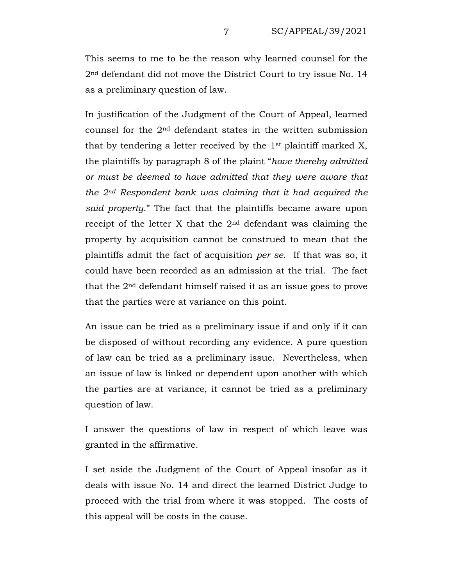This seems to me to be the reason why learned counsel for the  $2^{\text{nd}}$  defendant did not move the District Court to try issue No. 14 as a preliminary question of law.

In justification of the Judgment of the Court of Appeal, learned counsel for the  $2<sup>nd</sup>$  defendant states in the written submission that by tendering a letter received by the  $1$ <sup>st</sup> plaintiff marked X, the plaintiffs by paragraph 8 of the plaint "*have thereby admitted or must be deemed to have admitted that they were aware that the 2nd Respondent bank was claiming that it had acquired the said property*." The fact that the plaintiffs became aware upon receipt of the letter X that the 2nd defendant was claiming the property by acquisition cannot be construed to mean that the plaintiffs admit the fact of acquisition *per se*. If that was so, it could have been recorded as an admission at the trial. The fact that the 2nd defendant himself raised it as an issue goes to prove that the parties were at variance on this point.

An issue can be tried as a preliminary issue if and only if it can be disposed of without recording any evidence. A pure question of law can be tried as a preliminary issue. Nevertheless, when an issue of law is linked or dependent upon another with which the parties are at variance, it cannot be tried as a preliminary question of law.

I answer the questions of law in respect of which leave was granted in the affirmative.

I set aside the Judgment of the Court of Appeal insofar as it deals with issue No. 14 and direct the learned District Judge to proceed with the trial from where it was stopped. The costs of this appeal will be costs in the cause.